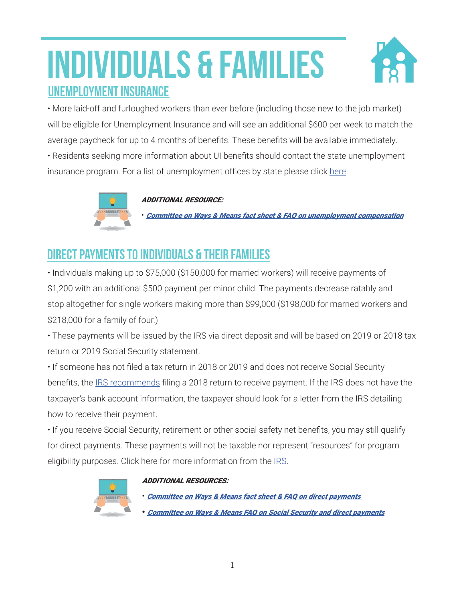# INDIVIDUALS & FAMILIES UNEMPLOYMENT INSURANCE



• More laid-off and furloughed workers than ever before (including those new to the job market) will be eligible for Unemployment Insurance and will see an additional \$600 per week to match the average paycheck for up to 4 months of benefits. These benefits will be available immediately.

• Residents seeking more information about UI benefits should contact the state unemployment insurance program. For a list of unemployment offices by state please click [here.](https://www.speaker.gov/sites/speaker.house.gov/files/State%20Unemployment%20Agencies.pdf)



ADDITIONAL RESOURCE:

• [Committee on Ways & Means fact sheet & FAQ on unemployment compensation](https://waysandmeans.house.gov/sites/democrats.waysandmeans.house.gov/files/documents/UC%20FAQ%20CARES%20Act.pdf)

## DIRECT PAYMENTS TO INDIVIDUALS & THEIR FAMILIES

• Individuals making up to \$75,000 (\$150,000 for married workers) will receive payments of \$1,200 with an additional \$500 payment per minor child. The payments decrease ratably and stop altogether for single workers making more than \$99,000 (\$198,000 for married workers and \$218,000 for a family of four.)

• These payments will be issued by the IRS via direct deposit and will be based on 2019 or 2018 tax return or 2019 Social Security statement.

• If someone has not filed a tax return in 2018 or 2019 and does not receive Social Security benefits, the [IRS recommends](https://www.irs.gov/newsroom/irs-operations-during-covid-19-mission-critical-functions-continue) filing a 2018 return to receive payment. If the IRS does not have the taxpayer's bank account information, the taxpayer should look for a letter from the IRS detailing how to receive their payment.

• If you receive Social Security, retirement or other social safety net benefits, you may still qualify for direct payments. These payments will not be taxable nor represent "resources" for program eligibility purposes. Click here for more information from the [IRS](https://www.irs.gov/newsroom/irs-operations-during-covid-19-mission-critical-functions-continue).



### ADDITIONAL RESOURCES:

• [Committee on Ways & Means fact sheet & FAQ on direct payments](https://www.speaker.gov/sites/speaker.house.gov/files/CARES Act Rebates FAQ_0 .pdf)  • [Committee on Ways & Means FAQ on Social Security and direct payments](https://waysandmeans.house.gov/sites/democrats.waysandmeans.house.gov/files/documents/SSA CARES.pdf)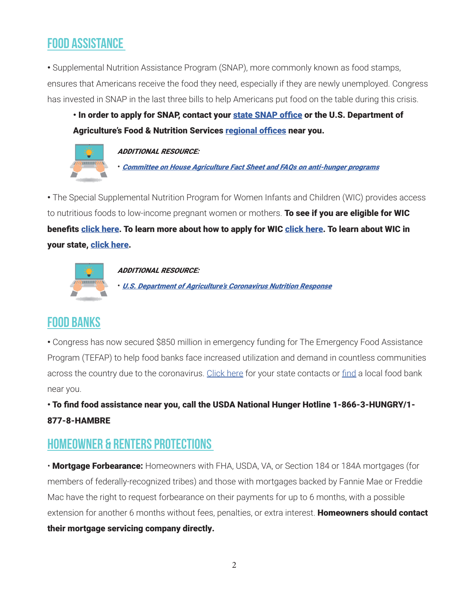## FOOD ASSISTANCE

• Supplemental Nutrition Assistance Program (SNAP), more commonly known as food stamps, ensures that Americans receive the food they need, especially if they are newly unemployed. Congress has invested in SNAP in the last three bills to help Americans put food on the table during this crisis.

• In order to apply for SNAP, contact your [state SNAP office](https://www.fns.usda.gov/snap/state-directory) or the U.S. Department of Agriculture's Food & Nutrition Services [regional offices](https://www.fns.usda.gov/fns-regional-offices) near you.



### ADDITIONAL RESOURCE:

• [Committee on House Agriculture Fact Sheet and FAQs on anti-hunger programs](https://demcom.house.gov/sites/default/files/Coronavirus and Anti-Hunger Programs.pdf)

• The Special Supplemental Nutrition Program for Women Infants and Children (WIC) provides access to nutritious foods to low-income pregnant women or mothers. To see if you are eligible for WIC benefits [click here.](https://www.fns.usda.gov/wic/wic-how-apply) To learn more about how to apply for WIC click here. To learn about WIC in your state, [click here](https://www.fns.usda.gov/contacts?f%5B0%5D=program%3A32).



ADDITIONAL RESOURCE: • [U.S. Department of Agriculture's Coronavirus Nutrition Response](https://www.fns.usda.gov/disaster/pandemic/covid-19)

## FOOD BANKS

• Congress has now secured \$850 million in emergency funding for The Emergency Food Assistance Program (TEFAP) to help food banks face increased utilization and demand in countless communities across the country due to the coronavirus. [Click here](https://www.fns.usda.gov/contacts?f%5B0%5D=program%3A27) for your state contacts or [find](https://www.feedingamerica.org/find-your-local-foodbank) a local food bank near you.

• To find food assistance near you, call the USDA National Hunger Hotline 1-866-3-HUNGRY/1- 877-8-HAMBRE

## HOMEOWNER & RENTERS PROTECTIONS

• Mortgage Forbearance: Homeowners with FHA, USDA, VA, or Section 184 or 184A mortgages (for members of federally-recognized tribes) and those with mortgages backed by Fannie Mae or Freddie Mac have the right to request forbearance on their payments for up to 6 months, with a possible extension for another 6 months without fees, penalties, or extra interest. Homeowners should contact their mortgage servicing company directly.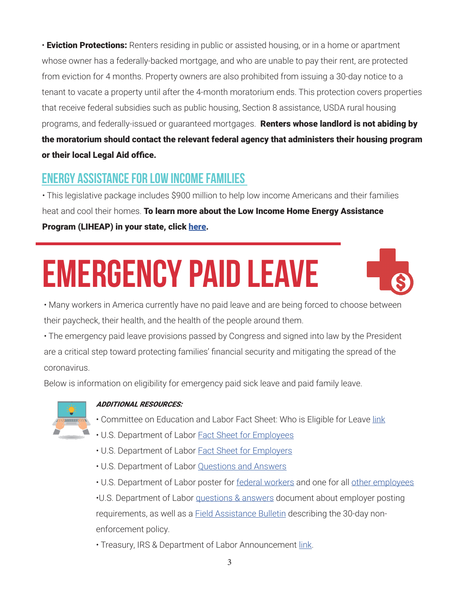• **Eviction Protections:** Renters residing in public or assisted housing, or in a home or apartment whose owner has a federally-backed mortgage, and who are unable to pay their rent, are protected from eviction for 4 months. Property owners are also prohibited from issuing a 30-day notice to a tenant to vacate a property until after the 4-month moratorium ends. This protection covers properties that receive federal subsidies such as public housing, Section 8 assistance, USDA rural housing programs, and federally-issued or guaranteed mortgages. Renters whose landlord is not abiding by the moratorium should contact the relevant federal agency that administers their housing program or their local Legal Aid office.

## ENERGY ASSISTANCE FOR LOW INCOME FAMILIES

• This legislative package includes \$900 million to help low income Americans and their families heat and cool their homes. To learn more about the Low Income Home Energy Assistance Program (LIHEAP) in your state, click [here](https://www.acf.hhs.gov/ocs/liheap-state-and-territory-contact-listing).

# EMERGENCY PAID LEAVE



• Many workers in America currently have no paid leave and are being forced to choose between their paycheck, their health, and the health of the people around them.

• The emergency paid leave provisions passed by Congress and signed into law by the President are a critical step toward protecting families' financial security and mitigating the spread of the coronavirus.

Below is information on eligibility for emergency paid sick leave and paid family leave.



### ADDITIONAL RESOURCES:

- Committee on Education and Labor Fact Sheet: Who is Eligible for Leave [link](https://edlabor.house.gov/imo/media/doc/2020-03-17 Families First Coronavirus Response Act Paid Leave + CARES Act FAQ .pdf)
- U.S. Department of Labor [Fact Sheet for Employees](https://www.dol.gov/agencies/whd/pandemic/ffcra-employee-paid-leave)
- U.S. Department of Labor [Fact Sheet for Employers](https://www.dol.gov/agencies/whd/pandemic/ffcra-employer-paid-leave)
- U.S. Department of Labor [Questions and Answers](https://www.dol.gov/agencies/whd/pandemic/ffcra-questions)

• U.S. Department of Labor poster for [federal workers](https://www.dol.gov/sites/dolgov/files/WHD/posters/FFCRA_Poster_WH1422_Federal.pdf) and one for all [other employees](https://www.dol.gov/sites/dolgov/files/WHD/posters/FFCRA_Poster_WH1422_Non-Federal.pdf)

•U.S. Department of Labor [questions & answers](https://www.dol.gov/agencies/whd/pandemic/ffcra-poster-questions) document about employer posting requirements, as well as a [Field Assistance Bulletin](https://www.dol.gov/agencies/whd/field-assistance-bulletins/2020-1) describing the 30-day nonenforcement policy.

• Treasury, IRS & Department of Labor Announcement [link.](https://home.treasury.gov/news/press-releases/sm952)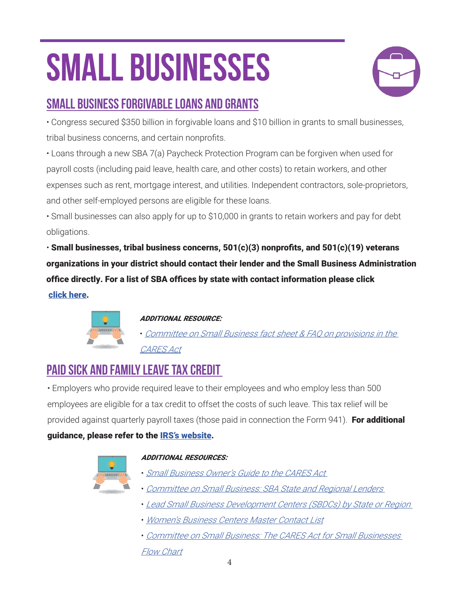# SMALL BUSINESSES



## SMALL BUSINESS FORGIVABLE LOANS AND GRANTS

• Congress secured \$350 billion in forgivable loans and \$10 billion in grants to small businesses, tribal business concerns, and certain nonprofits.

• Loans through a new SBA 7(a) Paycheck Protection Program can be forgiven when used for payroll costs (including paid leave, health care, and other costs) to retain workers, and other expenses such as rent, mortgage interest, and utilities. Independent contractors, sole-proprietors, and other self-employed persons are eligible for these loans.

• Small businesses can also apply for up to \$10,000 in grants to retain workers and pay for debt obligations.

 $\cdot$  Small businesses, tribal business concerns, 501(c)(3) nonprofits, and 501(c)(19) veterans organizations in your district should contact their lender and the Small Business Administration office directly. For a list of SBA offices by state with contact information please click [click here.](https://www.speaker.gov/sites/speaker.house.gov/files/SBA%20District%20Offices%20-%20Master%20List.pdf)



### ADDITIONAL RESOURCE:

• [Committee on Small Business fact sheet & FAQ on provisions in the](https://smallbusiness.house.gov/uploadedfiles/cares_act_small_business_adminstration_summary.pdf)  [CARES Act](https://smallbusiness.house.gov/uploadedfiles/cares_act_small_business_adminstration_summary.pdf)

## PAID SICK AND FAMILY LEAVE TAX CREDIT

• Employers who provide required leave to their employees and who employ less than 500 employees are eligible for a tax credit to offset the costs of such leave. This tax relief will be provided against quarterly payroll taxes (those paid in connection the Form 941). For additional guidance, please refer to the **IRS's website**.

### ADDITIONAL RESOURCES:

- [Small Business Owner's Guide to the CARES Act](https://www.speaker.gov/sites/speaker.house.gov/files/The Small Business Owners Guide to the CARES Act %28002%29.pdf)
- [Committee on Small Business: SBA State and Regional Lenders](https://www.speaker.gov/sites/speaker.house.gov/files/Small Business Committee State by State Lenders.pdf)
- [Lead Small Business Development Centers \(SBDCs\) by State or Region](https://www.speaker.gov/sites/speaker.house.gov/files/LEAD%20SMALL%20BUSINESS%20DEVELOPMENT%20CENTERS%20%28002%29.pdf)
- [Women's Business Centers Master Contact List](https://www.speaker.gov/sites/speaker.house.gov/files/WBC List for Resource Packet.pdf)
- [Committee on Small Business: The CARES Act for Small Businesses](https://www.speaker.gov/sites/speaker.house.gov/files/Committee on Small Business CARES Flow Chart.pdf)  [Flow Chart](https://www.speaker.gov/sites/speaker.house.gov/files/Committee on Small Business CARES Flow Chart.pdf)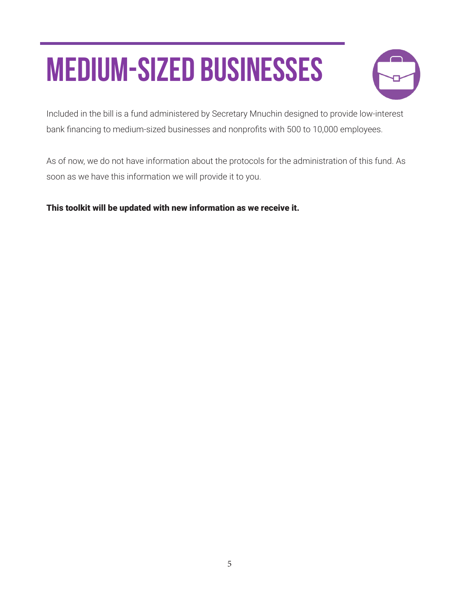# MEDIUM-SIZED BUSINESSES



Included in the bill is a fund administered by Secretary Mnuchin designed to provide low-interest bank financing to medium-sized businesses and nonprofits with 500 to 10,000 employees.

As of now, we do not have information about the protocols for the administration of this fund. As soon as we have this information we will provide it to you.

This toolkit will be updated with new information as we receive it.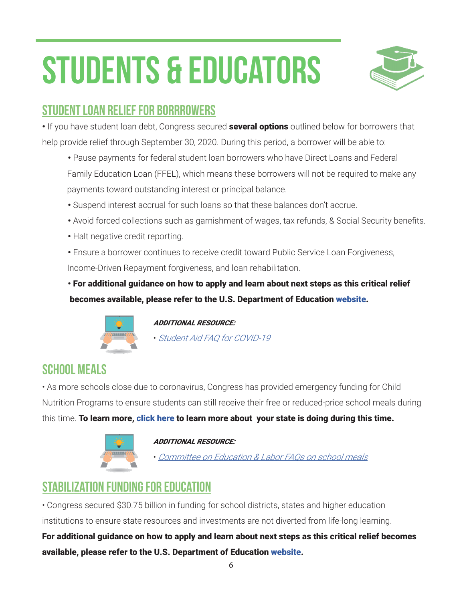# STUDENTS & EDUCATORS



## STUDENT LOAN RELIEF FOR BORRROWERS

• If you have student loan debt, Congress secured **several options** outlined below for borrowers that help provide relief through September 30, 2020. During this period, a borrower will be able to:

- Pause payments for federal student loan borrowers who have Direct Loans and Federal Family Education Loan (FFEL), which means these borrowers will not be required to make any payments toward outstanding interest or principal balance.
- Suspend interest accrual for such loans so that these balances don't accrue.
- Avoid forced collections such as garnishment of wages, tax refunds, & Social Security benefits.
- Halt negative credit reporting.
- Ensure a borrower continues to receive credit toward Public Service Loan Forgiveness,

Income-Driven Repayment forgiveness, and loan rehabilitation.

• For additional guidance on how to apply and learn about next steps as this critical relief becomes available, please refer to the U.S. Department of Education [website](https://studentaid.gov/announcements-events/coronavirus).



ADDITIONAL RESOURCE:

• [Student Aid FAQ for COVID-19](https://studentaid.gov/announcements-events/coronavirus)

## SCHOOL MEALS

• As more schools close due to coronavirus, Congress has provided emergency funding for Child Nutrition Programs to ensure students can still receive their free or reduced-price school meals during this time. To learn more, [click here](https://www.fns.usda.gov/disaster/pandemic/covid-19/cn-waivers-flexibilities) to learn more about your state is doing during this time.



### ADDITIONAL RESOURCE:

• [Committee on Education & Labor FAQs on school meals](https://edlabor.house.gov/imo/media/doc/2020-03-17 Families First Coronavirus Response Act Child Nutrition FAQ.pdf)

## STABILIZATION FUNDING FOR EDUCATION

• Congress secured \$30.75 billion in funding for school districts, states and higher education institutions to ensure state resources and investments are not diverted from life-long learning.

For additional guidance on how to apply and learn about next steps as this critical relief becomes available, please refer to the U.S. Department of Education [website](https://www.ed.gov/).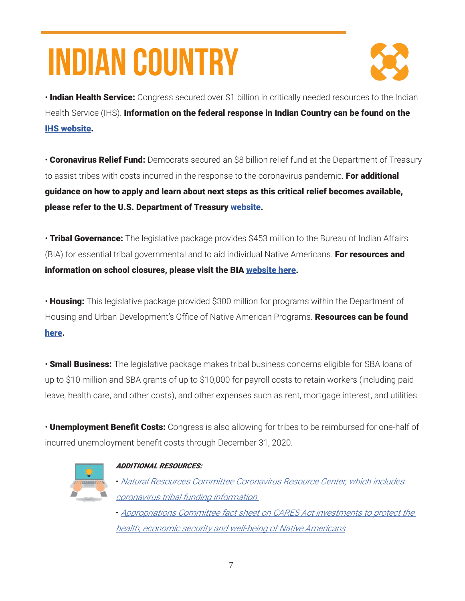# INDIAN COUNTRY



• Indian Health Service: Congress secured over \$1 billion in critically needed resources to the Indian Health Service (IHS). Information on the federal response in Indian Country can be found on the [IHS website.](https://www.ihs.gov/coronavirus)

• Coronavirus Relief Fund: Democrats secured an \$8 billion relief fund at the Department of Treasury to assist tribes with costs incurred in the response to the coronavirus pandemic. For additional guidance on how to apply and learn about next steps as this critical relief becomes available, please refer to the U.S. Department of Treasury [website](https://home.treasury.gov/coronavirus).

• Tribal Governance: The legislative package provides \$453 million to the Bureau of Indian Affairs (BIA) for essential tribal governmental and to aid individual Native Americans. For resources and information on school closures, please visit the BIA [website here.](https://www.bia.gov/covid-19)

• Housing: This legislative package provided \$300 million for programs within the Department of Housing and Urban Development's Office of Native American Programs. Resources can be found [here](https://www.hud.gov/program_offices/public_indian_housing/ih/codetalk/aboutonap).

• **Small Business:** The legislative package makes tribal business concerns eligible for SBA loans of up to \$10 million and SBA grants of up to \$10,000 for payroll costs to retain workers (including paid leave, health care, and other costs), and other expenses such as rent, mortgage interest, and utilities.

• **Unemployment Benefit Costs:** Congress is also allowing for tribes to be reimbursed for one-half of incurred unemployment benefit costs through December 31, 2020.



### ADDITIONAL RESOURCES:

• [Natural Resources Committee Coronavirus Resource Center, which includes](https://naturalresources.house.gov/coronavirus-resources)  [coronavirus tribal funding information](https://naturalresources.house.gov/coronavirus-resources) 

• [Appropriations Committee fact sheet on CARES Act investments to protect the](https://appropriations.house.gov/sites/democrats.appropriations.house.gov/files/CARES Act_Tribes.pdf)  [health, economic security and well-being of Native Americans](https://appropriations.house.gov/sites/democrats.appropriations.house.gov/files/CARES Act_Tribes.pdf)